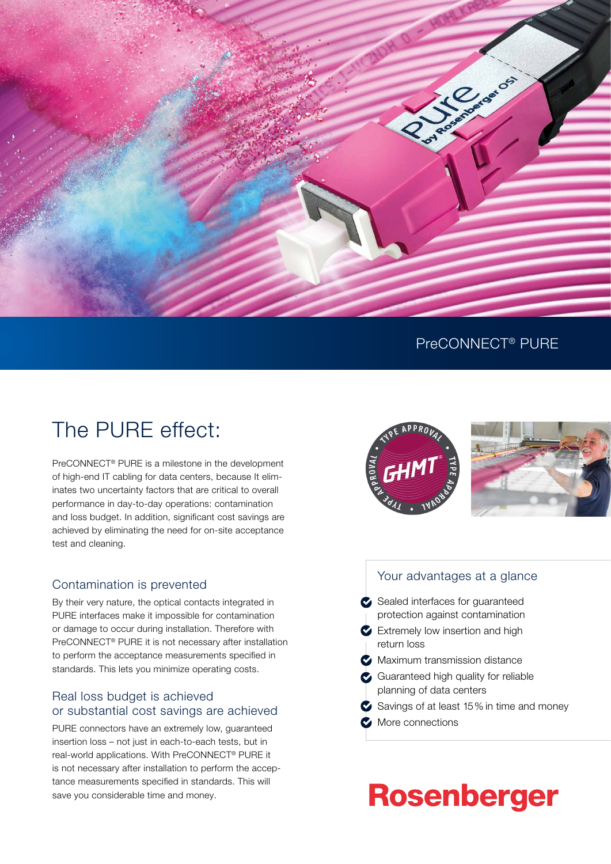

### PreCONNECT® PURE

# The PURE effect:

PreCONNECT® PURE is a milestone in the development of high-end IT cabling for data centers, because It eliminates two uncertainty factors that are critical to overall performance in day-to-day operations: contamination and loss budget. In addition, significant cost savings are achieved by eliminating the need for on-site acceptance test and cleaning.

### Contamination is prevented

By their very nature, the optical contacts integrated in PURE interfaces make it impossible for contamination or damage to occur during installation. Therefore with PreCONNECT® PURE it is not necessary after installation to perform the acceptance measurements specified in standards. This lets you minimize operating costs.

### Real loss budget is achieved or substantial cost savings are achieved

PURE connectors have an extremely low, guaranteed insertion loss – not just in each-to-each tests, but in real-world applications. With PreCONNECT® PURE it is not necessary after installation to perform the acceptance measurements specified in standards. This will save you considerable time and money.



### Your advantages at a glance

- Sealed interfaces for quaranteed protection against contamination
- Extremely low insertion and high return loss
- **Maximum transmission distance**
- Guaranteed high quality for reliable planning of data centers
- Savings of at least 15% in time and money
- More connections

# **Rosenberger**